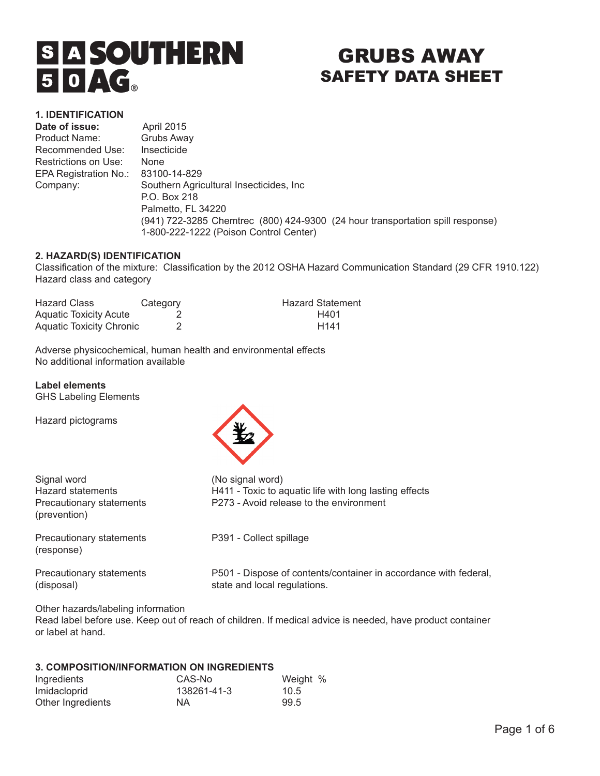# **S A SOUTHERN**  $50AG$

# GRUBS AWAY SAFETY DATA SHEET

## **1. IDENTIFICATION**

Date of issue: April 2015 Product Name: Grubs Away Recommended Use: Insecticide Restrictions on Use: None EPA Registration No.: 83100-14-829

Company: Southern Agricultural Insecticides, Inc P.O. Box 218 Palmetto, FL 34220 (941) 722-3285 Chemtrec (800) 424-9300 (24 hour transportation spill response) 1-800-222-1222 (Poison Control Center)

# **2. HAZARD(S) IDENTIFICATION**

Classification of the mixture: Classification by the 2012 OSHA Hazard Communication Standard (29 CFR 1910.122) Hazard class and category

| <b>Hazard Class</b>             | Category | <b>Hazard Statement</b> |
|---------------------------------|----------|-------------------------|
| <b>Aquatic Toxicity Acute</b>   |          | H401                    |
| <b>Aquatic Toxicity Chronic</b> |          | H <sub>141</sub>        |

Adverse physicochemical, human health and environmental effects No additional information available

# **Label elements**

GHS Labeling Elements

Hazard pictograms



| Signal word                              | (No signal word)                                                                                  |  |  |
|------------------------------------------|---------------------------------------------------------------------------------------------------|--|--|
| Hazard statements                        | H411 - Toxic to aquatic life with long lasting effects<br>P273 - Avoid release to the environment |  |  |
| Precautionary statements<br>(prevention) |                                                                                                   |  |  |
| Precautionary statements<br>(response)   | P391 - Collect spillage                                                                           |  |  |
| Precautionary statements<br>(disposal)   | P501 - Dispose of contents/container in accordance with federal,<br>state and local regulations.  |  |  |
|                                          |                                                                                                   |  |  |

Other hazards/labeling information

Read label before use. Keep out of reach of children. If medical advice is needed, have product container or label at hand.

# **3. COMPOSITION/INFORMATION ON INGREDIENTS**

| Ingredients       | CAS-No      | Weight % |
|-------------------|-------------|----------|
| Imidacloprid      | 138261-41-3 | 10.5     |
| Other Ingredients | NA          | 99.5     |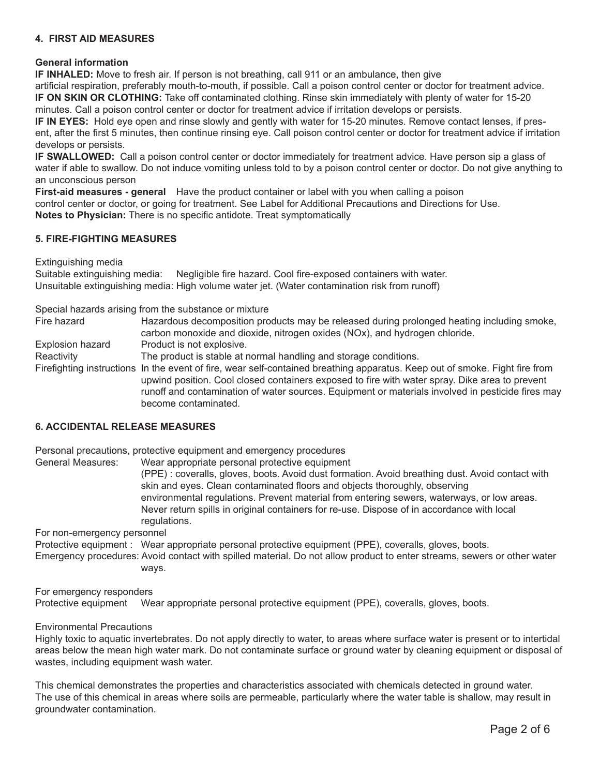#### **4. FIRST AID MEASURES**

#### **General information**

**IF INHALED:** Move to fresh air. If person is not breathing, call 911 or an ambulance, then give artificial respiration, preferably mouth-to-mouth, if possible. Call a poison control center or doctor for treatment advice. **IF ON SKIN OR CLOTHING:** Take off contaminated clothing. Rinse skin immediately with plenty of water for 15-20 minutes. Call a poison control center or doctor for treatment advice if irritation develops or persists.

**IF IN EYES:** Hold eye open and rinse slowly and gently with water for 15-20 minutes. Remove contact lenses, if present, after the first 5 minutes, then continue rinsing eye. Call poison control center or doctor for treatment advice if irritation develops or persists.

**IF SWALLOWED:** Call a poison control center or doctor immediately for treatment advice. Have person sip a glass of water if able to swallow. Do not induce vomiting unless told to by a poison control center or doctor. Do not give anything to an unconscious person

**First-aid measures - general** Have the product container or label with you when calling a poison control center or doctor, or going for treatment. See Label for Additional Precautions and Directions for Use. **Notes to Physician:** There is no specific antidote. Treat symptomatically

#### **5. FIRE-FIGHTING MEASURES**

Extinguishing media

Suitable extinguishing media: Negligible fire hazard. Cool fire-exposed containers with water. Unsuitable extinguishing media: High volume water jet. (Water contamination risk from runoff)

Special hazards arising from the substance or mixture

Fire hazard **Hazardous decomposition products may be released during prolonged heating including smoke,** carbon monoxide and dioxide, nitrogen oxides (NOx), and hydrogen chloride. Explosion hazard Product is not explosive. Reactivity The product is stable at normal handling and storage conditions. Firefighting instructions In the event of fire, wear self-contained breathing apparatus. Keep out of smoke. Fight fire from upwind position. Cool closed containers exposed to fire with water spray. Dike area to prevent runoff and contamination of water sources. Equipment or materials involved in pesticide fires may become contaminated.

#### **6. ACCIDENTAL RELEASE MEASURES**

Personal precautions, protective equipment and emergency procedures

General Measures: Wear appropriate personal protective equipment

(PPE) : coveralls, gloves, boots. Avoid dust formation. Avoid breathing dust. Avoid contact with skin and eyes. Clean contaminated floors and objects thoroughly, observing environmental regulations. Prevent material from entering sewers, waterways, or low areas. Never return spills in original containers for re-use. Dispose of in accordance with local regulations.

For non-emergency personnel

Protective equipment : Wear appropriate personal protective equipment (PPE), coveralls, gloves, boots.

Emergency procedures: Avoid contact with spilled material. Do not allow product to enter streams, sewers or other water ways.

For emergency responders

Protective equipment Wear appropriate personal protective equipment (PPE), coveralls, gloves, boots.

#### Environmental Precautions

Highly toxic to aquatic invertebrates. Do not apply directly to water, to areas where surface water is present or to intertidal areas below the mean high water mark. Do not contaminate surface or ground water by cleaning equipment or disposal of wastes, including equipment wash water.

This chemical demonstrates the properties and characteristics associated with chemicals detected in ground water. The use of this chemical in areas where soils are permeable, particularly where the water table is shallow, may result in groundwater contamination.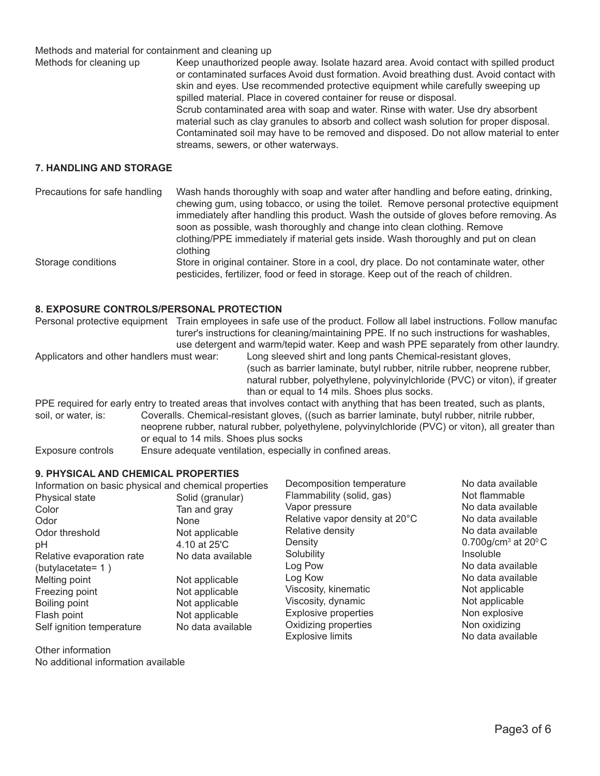Methods and material for containment and cleaning up

Methods for cleaning up Keep unauthorized people away. Isolate hazard area. Avoid contact with spilled product or contaminated surfaces Avoid dust formation. Avoid breathing dust. Avoid contact with skin and eyes. Use recommended protective equipment while carefully sweeping up spilled material. Place in covered container for reuse or disposal. Scrub contaminated area with soap and water. Rinse with water. Use dry absorbent material such as clay granules to absorb and collect wash solution for proper disposal. Contaminated soil may have to be removed and disposed. Do not allow material to enter streams, sewers, or other waterways.

#### **7. HANDLING AND STORAGE**

| Precautions for safe handling | Wash hands thoroughly with soap and water after handling and before eating, drinking,<br>chewing gum, using tobacco, or using the toilet. Remove personal protective equipment<br>immediately after handling this product. Wash the outside of gloves before removing. As |
|-------------------------------|---------------------------------------------------------------------------------------------------------------------------------------------------------------------------------------------------------------------------------------------------------------------------|
|                               | soon as possible, wash thoroughly and change into clean clothing. Remove<br>clothing/PPE immediately if material gets inside. Wash thoroughly and put on clean<br>clothing                                                                                                |
| Storage conditions            | Store in original container. Store in a cool, dry place. Do not contaminate water, other<br>pesticides, fertilizer, food or feed in storage. Keep out of the reach of children.                                                                                           |

#### **8. EXPOSURE CONTROLS/PERSONAL PROTECTION**

| Personal protective equipment             | Train employees in safe use of the product. Follow all label instructions. Follow manufac<br>turer's instructions for cleaning/maintaining PPE. If no such instructions for washables,<br>use detergent and warm/tepid water. Keep and wash PPE separately from other laundry. |
|-------------------------------------------|--------------------------------------------------------------------------------------------------------------------------------------------------------------------------------------------------------------------------------------------------------------------------------|
| Applicators and other handlers must wear: | Long sleeved shirt and long pants Chemical-resistant gloves,<br>(such as barrier laminate, butyl rubber, nitrile rubber, neoprene rubber,<br>natural rubber, polyethylene, polyvinylchloride (PVC) or viton), if greater<br>than or equal to 14 mils. Shoes plus socks.        |
|                                           | PPE required for early entry to treated areas that involves contact with anything that has been treated, such as plants,                                                                                                                                                       |
| soil, or water, is:                       | Coveralls. Chemical-resistant gloves, ((such as barrier laminate, butyl rubber, nitrile rubber,<br>neoprene rubber, natural rubber, polyethylene, polyvinylchloride (PVC) or viton), all greater than                                                                          |

or equal to 14 mils. Shoes plus socks

Exposure controls Ensure adequate ventilation, especially in confined areas.

#### **9. PHYSICAL AND CHEMICAL PROPERTIES**

| Information on basic physical and chemical properties |                   | Decomposition temperature      | No data available                        |
|-------------------------------------------------------|-------------------|--------------------------------|------------------------------------------|
| Physical state                                        | Solid (granular)  | Flammability (solid, gas)      | Not flammable                            |
| Color                                                 | Tan and gray      | Vapor pressure                 | No data available                        |
| Odor                                                  | <b>None</b>       | Relative vapor density at 20°C | No data available                        |
| Odor threshold                                        | Not applicable    | Relative density               | No data available                        |
| рH                                                    | 4.10 at 25'C      | Density                        | 0.700g/cm <sup>3</sup> at $20^{\circ}$ C |
| Relative evaporation rate                             | No data available | Solubility                     | Insoluble                                |
| (butylacetate= $1)$                                   |                   | Log Pow                        | No data available                        |
| Melting point                                         | Not applicable    | Log Kow                        | No data available                        |
| Freezing point                                        | Not applicable    | Viscosity, kinematic           | Not applicable                           |
| Boiling point                                         | Not applicable    | Viscosity, dynamic             | Not applicable                           |
| Flash point                                           | Not applicable    | Explosive properties           | Non explosive                            |
| Self ignition temperature                             | No data available | Oxidizing properties           | Non oxidizing                            |
|                                                       |                   | <b>Explosive limits</b>        | No data available                        |

Other information No additional information available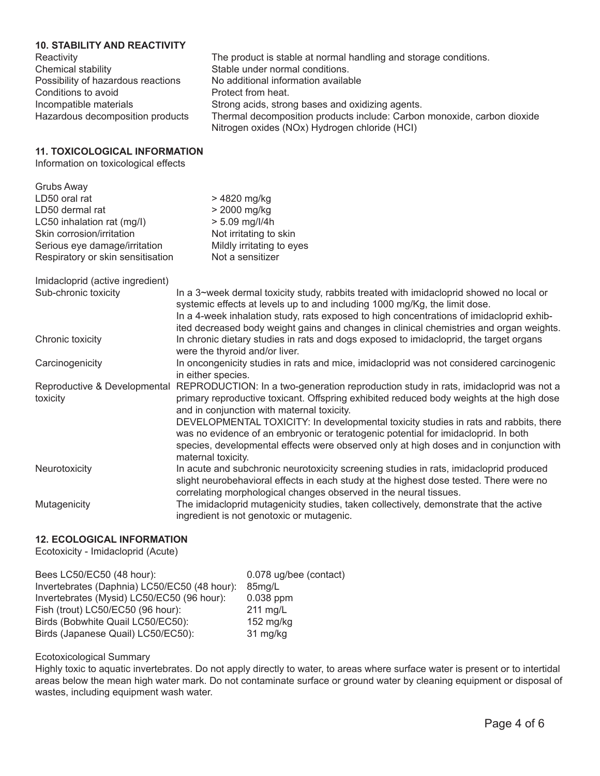# **10. STABILITY AND REACTIVITY**

| Reactivity                         | The product is stable at normal handling and storage conditions.        |
|------------------------------------|-------------------------------------------------------------------------|
| Chemical stability                 | Stable under normal conditions.                                         |
| Possibility of hazardous reactions | No additional information available                                     |
| Conditions to avoid                | Protect from heat.                                                      |
| Incompatible materials             | Strong acids, strong bases and oxidizing agents.                        |
| Hazardous decomposition products   | Thermal decomposition products include: Carbon monoxide, carbon dioxide |
|                                    | Nitrogen oxides (NOx) Hydrogen chloride (HCI)                           |
|                                    |                                                                         |

## **11. TOXICOLOGICAL INFORMATION**

Information on toxicological effects

| <b>Grubs Away</b>                 |                                                                                                                                                                                                                                                                   |
|-----------------------------------|-------------------------------------------------------------------------------------------------------------------------------------------------------------------------------------------------------------------------------------------------------------------|
| LD50 oral rat                     | > 4820 mg/kg                                                                                                                                                                                                                                                      |
| LD50 dermal rat                   | > 2000 mg/kg                                                                                                                                                                                                                                                      |
| LC50 inhalation rat (mg/l)        | $> 5.09$ mg/l/4h                                                                                                                                                                                                                                                  |
| Skin corrosion/irritation         | Not irritating to skin                                                                                                                                                                                                                                            |
| Serious eye damage/irritation     | Mildly irritating to eyes                                                                                                                                                                                                                                         |
| Respiratory or skin sensitisation | Not a sensitizer                                                                                                                                                                                                                                                  |
| Imidacloprid (active ingredient)  |                                                                                                                                                                                                                                                                   |
| Sub-chronic toxicity              | In a 3~week dermal toxicity study, rabbits treated with imidacloprid showed no local or<br>systemic effects at levels up to and including 1000 mg/Kg, the limit dose.<br>In a 4-week inhalation study, rats exposed to high concentrations of imidacloprid exhib- |
|                                   | ited decreased body weight gains and changes in clinical chemistries and organ weights.                                                                                                                                                                           |
| Chronic toxicity                  | In chronic dietary studies in rats and dogs exposed to imidacloprid, the target organs<br>were the thyroid and/or liver.                                                                                                                                          |
| Carcinogenicity                   | In oncongenicity studies in rats and mice, imidacloprid was not considered carcinogenic<br>in either species.                                                                                                                                                     |
| Reproductive & Developmental      | REPRODUCTION: In a two-generation reproduction study in rats, imidacloprid was not a                                                                                                                                                                              |
| toxicity                          | primary reproductive toxicant. Offspring exhibited reduced body weights at the high dose<br>and in conjunction with maternal toxicity.                                                                                                                            |
|                                   | DEVELOPMENTAL TOXICITY: In developmental toxicity studies in rats and rabbits, there                                                                                                                                                                              |
|                                   | was no evidence of an embryonic or teratogenic potential for imidacloprid. In both                                                                                                                                                                                |
|                                   | species, developmental effects were observed only at high doses and in conjunction with<br>maternal toxicity.                                                                                                                                                     |
| Neurotoxicity                     | In acute and subchronic neurotoxicity screening studies in rats, imidacloprid produced                                                                                                                                                                            |
|                                   | slight neurobehavioral effects in each study at the highest dose tested. There were no<br>correlating morphological changes observed in the neural tissues.                                                                                                       |
| Mutagenicity                      | The imidacloprid mutagenicity studies, taken collectively, demonstrate that the active<br>ingredient is not genotoxic or mutagenic.                                                                                                                               |
|                                   |                                                                                                                                                                                                                                                                   |

# **12. ECOLOGICAL INFORMATION**

Ecotoxicity - Imidacloprid (Acute)

| Bees LC50/EC50 (48 hour):                    | 0.078 ug/bee (contact) |
|----------------------------------------------|------------------------|
| Invertebrates (Daphnia) LC50/EC50 (48 hour): | 85mg/L                 |
| Invertebrates (Mysid) LC50/EC50 (96 hour):   | $0.038$ ppm            |
| Fish (trout) LC50/EC50 (96 hour):            | $211$ mg/L             |
| Birds (Bobwhite Quail LC50/EC50):            | $152$ mg/kg            |
| Birds (Japanese Quail) LC50/EC50):           | 31 mg/kg               |

#### Ecotoxicological Summary

Highly toxic to aquatic invertebrates. Do not apply directly to water, to areas where surface water is present or to intertidal areas below the mean high water mark. Do not contaminate surface or ground water by cleaning equipment or disposal of wastes, including equipment wash water.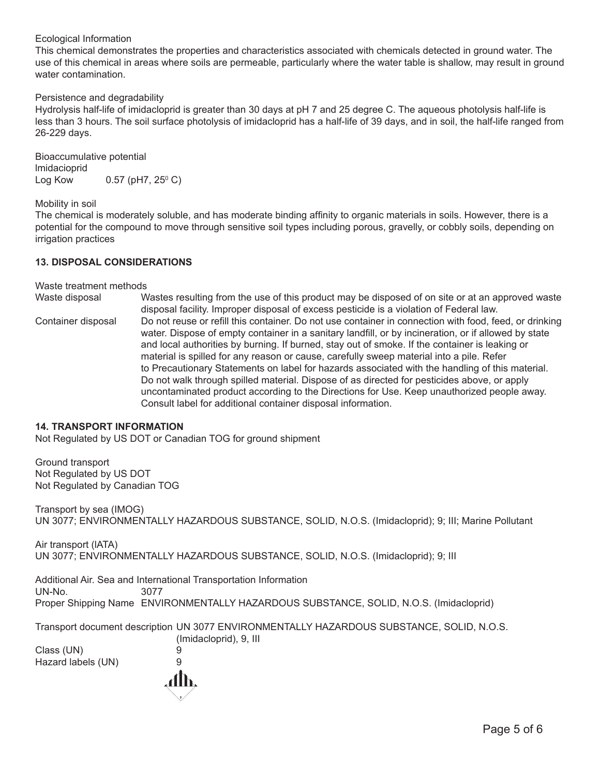#### Ecological Information

This chemical demonstrates the properties and characteristics associated with chemicals detected in ground water. The use of this chemical in areas where soils are permeable, particularly where the water table is shallow, may result in ground water contamination.

#### Persistence and degradability

Hydrolysis half-life of imidacloprid is greater than 30 days at pH 7 and 25 degree C. The aqueous photolysis half-life is less than 3 hours. The soil surface photolysis of imidacloprid has a half-life of 39 days, and in soil, the half-life ranged from 26-229 days.

Bioaccumulative potential lmidacioprid Log Kow 0.57 (pH7, 25º C)

#### Mobility in soil

The chemical is moderately soluble, and has moderate binding affinity to organic materials in soils. However, there is a potential for the compound to move through sensitive soil types including porous, gravelly, or cobbly soils, depending on irrigation practices

#### **13. DISPOSAL CONSIDERATIONS**

#### Waste treatment methods

Waste disposal Wastes resulting from the use of this product may be disposed of on site or at an approved waste disposal facility. Improper disposal of excess pesticide is a violation of Federal law. Container disposal Do not reuse or refill this container. Do not use container in connection with food, feed, or drinking water. Dispose of empty container in a sanitary landfill, or by incineration, or if allowed by state and local authorities by burning. If burned, stay out of smoke. If the container is leaking or material is spilled for any reason or cause, carefully sweep material into a pile. Refer to Precautionary Statements on label for hazards associated with the handling of this material. Do not walk through spilled material. Dispose of as directed for pesticides above, or apply uncontaminated product according to the Directions for Use. Keep unauthorized people away. Consult label for additional container disposal information.

#### **14. TRANSPORT INFORMATION**

Not Regulated by US DOT or Canadian TOG for ground shipment

Ground transport Not Regulated by US DOT Not Regulated by Canadian TOG

Transport by sea (IMOG) UN 3077; ENVIRONMENTALLY HAZARDOUS SUBSTANCE, SOLID, N.O.S. (Imidacloprid); 9; III; Marine Pollutant

Air transport (lATA) UN 3077; ENVIRONMENTALLY HAZARDOUS SUBSTANCE, SOLID, N.O.S. (Imidacloprid); 9; III

Additional Air. Sea and International Transportation Information UN-No. 3077 Proper Shipping Name ENVIRONMENTALLY HAZARDOUS SUBSTANCE, SOLID, N.O.S. (Imidacloprid)

Transport document description UN 3077 ENVIRONMENTALLY HAZARDOUS SUBSTANCE, SOLID, N.O.S.

Class (UN) 9 Hazard labels (UN) 9